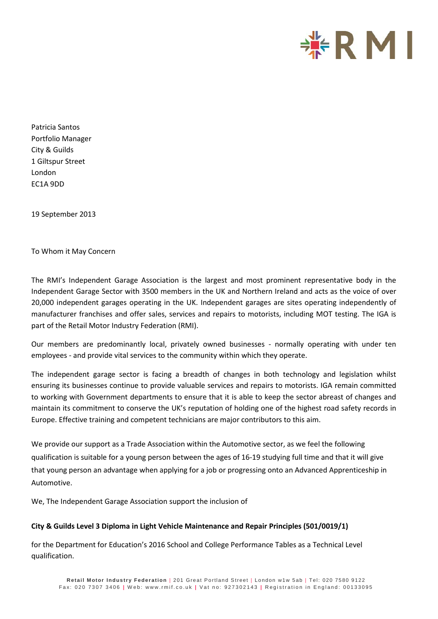

Patricia Santos Portfolio Manager City & Guilds 1 Giltspur Street London EC1A 9DD

19 September 2013

To Whom it May Concern

The RMI's Independent Garage Association is the largest and most prominent representative body in the Independent Garage Sector with 3500 members in the UK and Northern Ireland and acts as the voice of over 20,000 independent garages operating in the UK. Independent garages are sites operating independently of manufacturer franchises and offer sales, services and repairs to motorists, including MOT testing. The IGA is part of the Retail Motor Industry Federation (RMI).

Our members are predominantly local, privately owned businesses - normally operating with under ten employees - and provide vital services to the community within which they operate.

The independent garage sector is facing a breadth of changes in both technology and legislation whilst ensuring its businesses continue to provide valuable services and repairs to motorists. IGA remain committed to working with Government departments to ensure that it is able to keep the sector abreast of changes and maintain its commitment to conserve the UK's reputation of holding one of the highest road safety records in Europe. Effective training and competent technicians are major contributors to this aim.

We provide our support as a Trade Association within the Automotive sector, as we feel the following qualification is suitable for a young person between the ages of 16-19 studying full time and that it will give that young person an advantage when applying for a job or progressing onto an Advanced Apprenticeship in Automotive.

We, The Independent Garage Association support the inclusion of

## **City & Guilds Level 3 Diploma in Light Vehicle Maintenance and Repair Principles (501/0019/1)**

for the Department for Education's 2016 School and College Performance Tables as a Technical Level qualification.